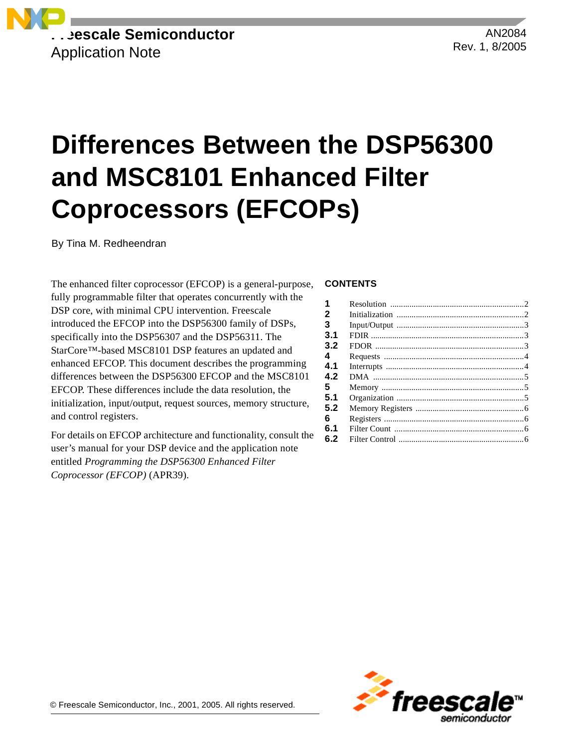

AN2084 Rev. 1, 8/2005

# **Differences Between the DSP56300 and MSC8101 Enhanced Filter Coprocessors (EFCOPs)**

By Tina M. Redheendran

The enhanced filter coprocessor (EFCOP) is a general-purpose, fully programmable filter that operates concurrently with the DSP core, with minimal CPU intervention. Freescale introduced the EFCOP into the DSP56300 family of DSPs, specifically into the DSP56307 and the DSP56311. The StarCore™-based MSC8101 DSP features an updated and enhanced EFCOP. This document describes the programming differences between the DSP56300 EFCOP and the MSC8101 EFCOP. These differences include the data resolution, the initialization, input/output, request sources, memory structure, and control registers.

For details on EFCOP architecture and functionality, consult the user's manual for your DSP device and the application note entitled *Programming the DSP56300 Enhanced Filter Coprocessor (EFCOP)* (APR39).

#### **CONTENTS**

| 1   |  |
|-----|--|
| 2   |  |
| 3   |  |
| 3.1 |  |
| 3.2 |  |
| 4   |  |
| 4.1 |  |
| 4.2 |  |
| 5   |  |
| 5.1 |  |
| 5.2 |  |
| 6   |  |
| 6.1 |  |
| 6.2 |  |
|     |  |

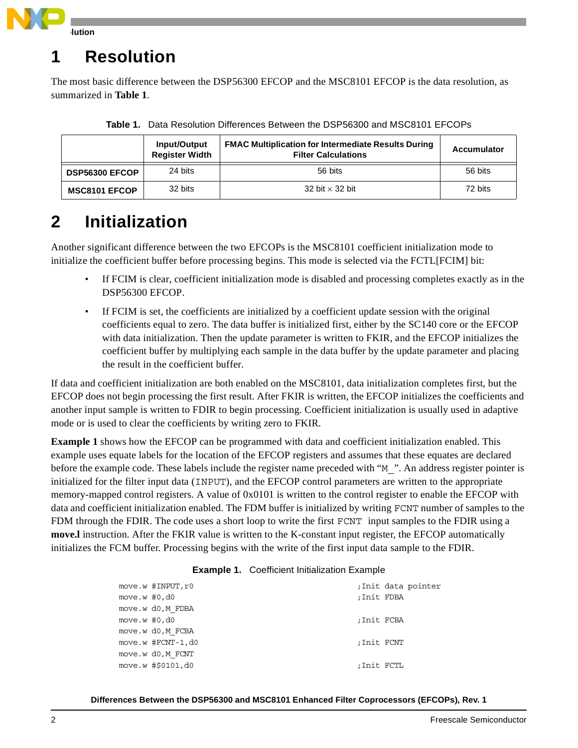

# **1 Resolution**

The most basic difference between the DSP56300 EFCOP and the MSC8101 EFCOP is the data resolution, as summarized in **[Table 1](#page-1-0)**.

<span id="page-1-0"></span>

|                       | Input/Output<br><b>Register Width</b> | <b>FMAC Multiplication for Intermediate Results During</b><br><b>Filter Calculations</b> | <b>Accumulator</b> |
|-----------------------|---------------------------------------|------------------------------------------------------------------------------------------|--------------------|
| <b>DSP56300 EFCOP</b> | 24 bits                               | 56 bits                                                                                  | 56 bits            |
| <b>MSC8101 EFCOP</b>  | 32 bits                               | 32 bit $\times$ 32 bit                                                                   | 72 bits            |

**Table 1.** Data Resolution Differences Between the DSP56300 and MSC8101 EFCOPs

# <span id="page-1-2"></span>**2 Initialization**

Another significant difference between the two EFCOPs is the MSC8101 coefficient initialization mode to initialize the coefficient buffer before processing begins. This mode is selected via the FCTL[FCIM] bit:

- If FCIM is clear, coefficient initialization mode is disabled and processing completes exactly as in the DSP56300 EFCOP.
- If FCIM is set, the coefficients are initialized by a coefficient update session with the original coefficients equal to zero. The data buffer is initialized first, either by the SC140 core or the EFCOP with data initialization. Then the update parameter is written to FKIR, and the EFCOP initializes the coefficient buffer by multiplying each sample in the data buffer by the update parameter and placing the result in the coefficient buffer.

If data and coefficient initialization are both enabled on the MSC8101, data initialization completes first, but the EFCOP does not begin processing the first result. After FKIR is written, the EFCOP initializes the coefficients and another input sample is written to FDIR to begin processing. Coefficient initialization is usually used in adaptive mode or is used to clear the coefficients by writing zero to FKIR.

**[Example 1](#page-1-1)** shows how the EFCOP can be programmed with data and coefficient initialization enabled. This example uses equate labels for the location of the EFCOP registers and assumes that these equates are declared before the example code. These labels include the register name preceded with "M\_". An address register pointer is initialized for the filter input data (INPUT), and the EFCOP control parameters are written to the appropriate memory-mapped control registers. A value of 0x0101 is written to the control register to enable the EFCOP with data and coefficient initialization enabled. The FDM buffer is initialized by writing FCNT number of samples to the FDM through the FDIR. The code uses a short loop to write the first FCNT input samples to the FDIR using a **move.l** instruction. After the FKIR value is written to the K-constant input register, the EFCOP automatically initializes the FCM buffer. Processing begins with the write of the first input data sample to the FDIR.

| <b>Example 1. Coefficient Initialization Example</b> |  |  |  |
|------------------------------------------------------|--|--|--|
|------------------------------------------------------|--|--|--|

<span id="page-1-1"></span>

|                  | move.w #INPUT, r0 |             | ;Init data pointer |
|------------------|-------------------|-------------|--------------------|
| move.w $#0$ , d0 |                   | ; Init FDBA |                    |
|                  | move.w d0, M FDBA |             |                    |
| move.w $#0$ , d0 |                   | ;Init FCBA  |                    |
|                  | move.w d0, M FCBA |             |                    |
|                  | move.w #FCNT-1,d0 | :Init FCNT  |                    |
|                  | move.w d0, M FCNT |             |                    |
|                  | move.w #\$0101,d0 | ;Init FCTL  |                    |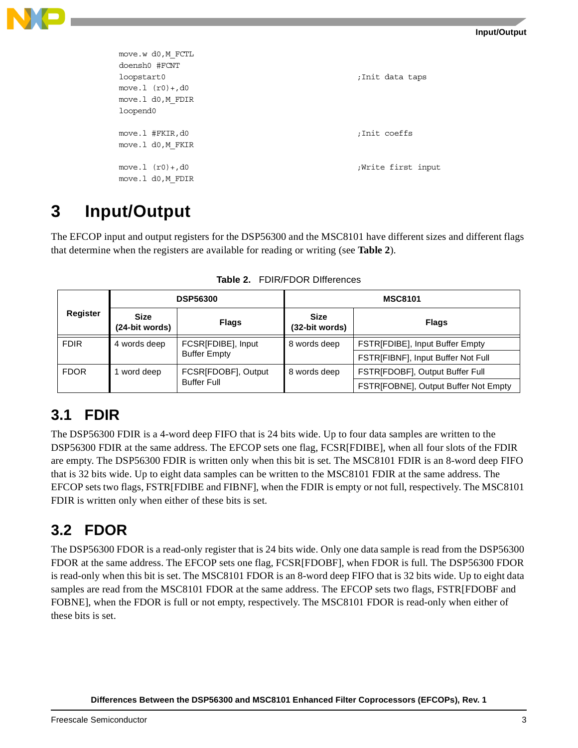

| move.w d0, M FCTL<br>doensh0 #FCNT |                   |
|------------------------------------|-------------------|
| loopstart0                         | ;Init data taps   |
| move. $1 (r0) + d0$                |                   |
| move.1 d0, M FDIR                  |                   |
| loopend0                           |                   |
|                                    |                   |
| move.1 #FKIR,d0                    | ;Init coeffs      |
| move.1 d0, M FKIR                  |                   |
|                                    |                   |
| move. $1 (r0) + d0$                | Write first input |
| move.1 d0, M FDIR                  |                   |

### <span id="page-2-1"></span>**3 Input/Output**

The EFCOP input and output registers for the DSP56300 and the MSC8101 have different sizes and different flags that determine when the registers are available for reading or writing (see **[Table 2](#page-2-0)**).

<span id="page-2-0"></span>

|                    | <b>DSP56300</b>                                           |              | <b>MSC8101</b>                |                                      |
|--------------------|-----------------------------------------------------------|--------------|-------------------------------|--------------------------------------|
| Register           | <b>Size</b><br>(24-bit words)                             | <b>Flags</b> | <b>Size</b><br>(32-bit words) | <b>Flags</b>                         |
| <b>FDIR</b>        | FCSR[FDIBE], Input<br>4 words deep<br><b>Buffer Empty</b> |              | 8 words deep                  | FSTR[FDIBE], Input Buffer Empty      |
|                    |                                                           |              |                               | FSTR[FIBNF], Input Buffer Not Full   |
| <b>FDOR</b>        | FCSR[FDOBF], Output<br>word deep                          |              | 8 words deep                  | FSTR[FDOBF], Output Buffer Full      |
| <b>Buffer Full</b> |                                                           |              |                               | FSTR[FOBNE], Output Buffer Not Empty |

**Table 2.** FDIR/FDOR DIfferences

#### **3.1 FDIR**

The DSP56300 FDIR is a 4-word deep FIFO that is 24 bits wide. Up to four data samples are written to the DSP56300 FDIR at the same address. The EFCOP sets one flag, FCSR[FDIBE], when all four slots of the FDIR are empty. The DSP56300 FDIR is written only when this bit is set. The MSC8101 FDIR is an 8-word deep FIFO that is 32 bits wide. Up to eight data samples can be written to the MSC8101 FDIR at the same address. The EFCOP sets two flags, FSTR[FDIBE and FIBNF], when the FDIR is empty or not full, respectively. The MSC8101 FDIR is written only when either of these bits is set.

#### **3.2 FDOR**

The DSP56300 FDOR is a read-only register that is 24 bits wide. Only one data sample is read from the DSP56300 FDOR at the same address. The EFCOP sets one flag, FCSR[FDOBF], when FDOR is full. The DSP56300 FDOR is read-only when this bit is set. The MSC8101 FDOR is an 8-word deep FIFO that is 32 bits wide. Up to eight data samples are read from the MSC8101 FDOR at the same address. The EFCOP sets two flags, FSTR[FDOBF and FOBNE], when the FDOR is full or not empty, respectively. The MSC8101 FDOR is read-only when either of these bits is set.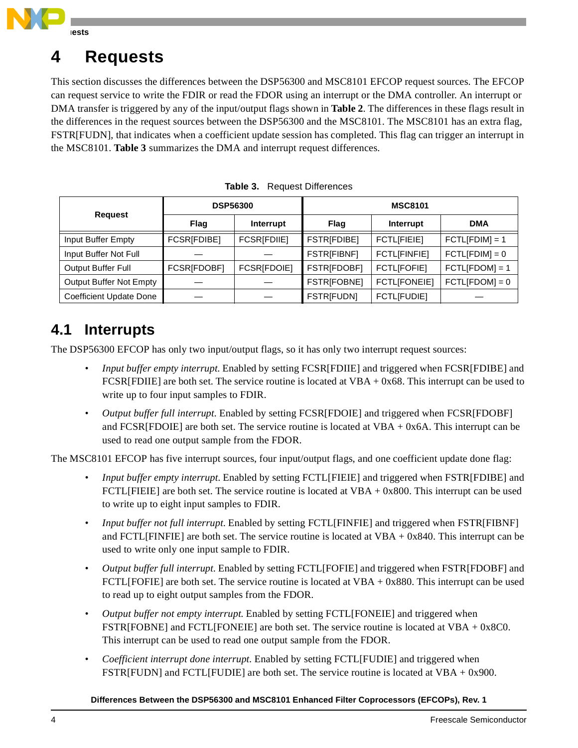

### <span id="page-3-1"></span>**4 Requests**

This section discusses the differences between the DSP56300 and MSC8101 EFCOP request sources. The EFCOP can request service to write the FDIR or read the FDOR using an interrupt or the DMA controller. An interrupt or DMA transfer is triggered by any of the input/output flags shown in **[Table 2](#page-2-0)**. The differences in these flags result in the differences in the request sources between the DSP56300 and the MSC8101. The MSC8101 has an extra flag, FSTR[FUDN], that indicates when a coefficient update session has completed. This flag can trigger an interrupt in the MSC8101. **[Table 3](#page-3-0)** summarizes the DMA and interrupt request differences.

<span id="page-3-0"></span>

|                                | <b>DSP56300</b> |             | <b>MSC8101</b>     |                     |                  |
|--------------------------------|-----------------|-------------|--------------------|---------------------|------------------|
| <b>Request</b>                 | Flag            | Interrupt   | Flag               | Interrupt           | <b>DMA</b>       |
| Input Buffer Empty             | FCSR[FDIBE]     | FCSR[FDIIE] | <b>FSTR[FDIBE]</b> | <b>FCTLIFIEIEI</b>  | $FCTL[FDIM] = 1$ |
| Input Buffer Not Full          |                 |             | <b>FSTR[FIBNF]</b> | <b>FCTLIFINFIEI</b> | $FCTL[FDIM] = 0$ |
| Output Buffer Full             | FCSR[FDOBF]     | FCSR[FDOIE] | FSTR[FDOBF]        | <b>FCTLIFOFIEI</b>  | $FCTL[FDOM] = 1$ |
| <b>Output Buffer Not Empty</b> |                 |             | <b>FSTR[FOBNE]</b> | <b>FCTLIFONEIEI</b> | $FCTL[FDOM] = 0$ |
| <b>Coefficient Update Done</b> |                 |             | <b>FSTR[FUDN]</b>  | <b>FCTLIFUDIEI</b>  |                  |

**Table 3.** Request Differences

#### **4.1 Interrupts**

The DSP56300 EFCOP has only two input/output flags, so it has only two interrupt request sources:

- *Input buffer empty interrupt*. Enabled by setting FCSR[FDIIE] and triggered when FCSR[FDIBE] and FCSR[FDIIE] are both set. The service routine is located at VBA + 0x68. This interrupt can be used to write up to four input samples to FDIR.
- *Output buffer full interrupt*. Enabled by setting FCSR[FDOIE] and triggered when FCSR[FDOBF] and FCSR[FDOIE] are both set. The service routine is located at  $VBA + 0x6A$ . This interrupt can be used to read one output sample from the FDOR.

The MSC8101 EFCOP has five interrupt sources, four input/output flags, and one coefficient update done flag:

- *Input buffer empty interrupt*. Enabled by setting FCTL[FIEIE] and triggered when FSTR[FDIBE] and  $FCTL[FIEIE]$  are both set. The service routine is located at VBA + 0x800. This interrupt can be used to write up to eight input samples to FDIR.
- *Input buffer not full interrupt*. Enabled by setting FCTL[FINFIE] and triggered when FSTR[FIBNF] and FCTL[FINFIE] are both set. The service routine is located at VBA + 0x840. This interrupt can be used to write only one input sample to FDIR.
- *Output buffer full interrupt*. Enabled by setting FCTL[FOFIE] and triggered when FSTR[FDOBF] and FCTL[FOFIE] are both set. The service routine is located at VBA + 0x880. This interrupt can be used to read up to eight output samples from the FDOR.
- *Output buffer not empty interrupt*. Enabled by setting FCTL[FONEIE] and triggered when FSTR[FOBNE] and FCTL[FONEIE] are both set. The service routine is located at VBA + 0x8C0. This interrupt can be used to read one output sample from the FDOR.
- *Coefficient interrupt done interrupt*. Enabled by setting FCTL[FUDIE] and triggered when FSTR[FUDN] and FCTL[FUDIE] are both set. The service routine is located at VBA + 0x900.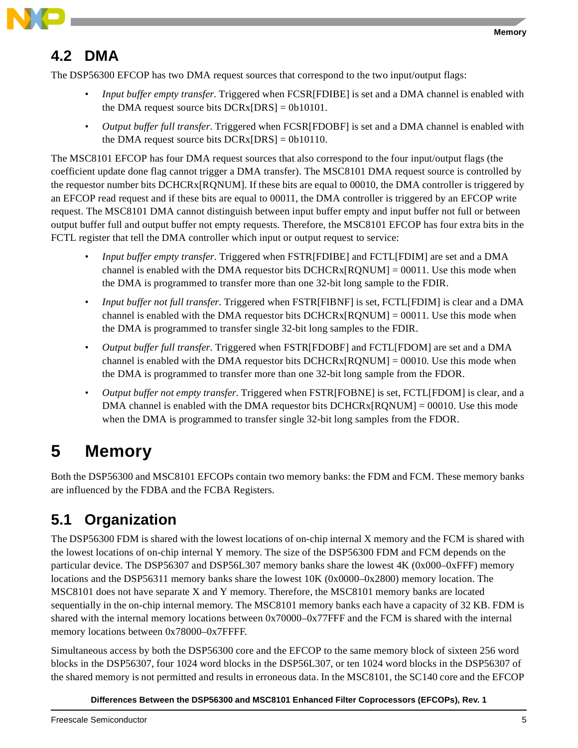

#### **4.2 DMA**

The DSP56300 EFCOP has two DMA request sources that correspond to the two input/output flags:

- *Input buffer empty transfer*. Triggered when FCSR[FDIBE] is set and a DMA channel is enabled with the DMA request source bits  $DCRx[DRS] = 0b10101$ .
- *Output buffer full transfer*. Triggered when FCSR[FDOBF] is set and a DMA channel is enabled with the DMA request source bits  $DCRx[DRS] = 0b10110$ .

The MSC8101 EFCOP has four DMA request sources that also correspond to the four input/output flags (the coefficient update done flag cannot trigger a DMA transfer). The MSC8101 DMA request source is controlled by the requestor number bits DCHCRx[RQNUM]. If these bits are equal to 00010, the DMA controller is triggered by an EFCOP read request and if these bits are equal to 00011, the DMA controller is triggered by an EFCOP write request. The MSC8101 DMA cannot distinguish between input buffer empty and input buffer not full or between output buffer full and output buffer not empty requests. Therefore, the MSC8101 EFCOP has four extra bits in the FCTL register that tell the DMA controller which input or output request to service:

- *Input buffer empty transfer*. Triggered when FSTR[FDIBE] and FCTL[FDIM] are set and a DMA channel is enabled with the DMA requestor bits  $DCHCRx[RONUM] = 00011$ . Use this mode when the DMA is programmed to transfer more than one 32-bit long sample to the FDIR.
- *Input buffer not full transfer*. Triggered when FSTR[FIBNF] is set, FCTL[FDIM] is clear and a DMA channel is enabled with the DMA requestor bits  $DCHCRx[RONUM] = 00011$ . Use this mode when the DMA is programmed to transfer single 32-bit long samples to the FDIR.
- *Output buffer full transfer*. Triggered when FSTR[FDOBF] and FCTL[FDOM] are set and a DMA channel is enabled with the DMA requestor bits  $DCHCRx[RONUM] = 00010$ . Use this mode when the DMA is programmed to transfer more than one 32-bit long sample from the FDOR.
- *Output buffer not empty transfer*. Triggered when FSTR[FOBNE] is set, FCTL[FDOM] is clear, and a DMA channel is enabled with the DMA requestor bits  $DCHCRx[ROMUM] = 00010$ . Use this mode when the DMA is programmed to transfer single 32-bit long samples from the FDOR.

# **5 Memory**

Both the DSP56300 and MSC8101 EFCOPs contain two memory banks: the FDM and FCM. These memory banks are influenced by the FDBA and the FCBA Registers.

### **5.1 Organization**

The DSP56300 FDM is shared with the lowest locations of on-chip internal X memory and the FCM is shared with the lowest locations of on-chip internal Y memory. The size of the DSP56300 FDM and FCM depends on the particular device. The DSP56307 and DSP56L307 memory banks share the lowest 4K (0x000–0xFFF) memory locations and the DSP56311 memory banks share the lowest 10K (0x0000–0x2800) memory location. The MSC8101 does not have separate X and Y memory. Therefore, the MSC8101 memory banks are located sequentially in the on-chip internal memory. The MSC8101 memory banks each have a capacity of 32 KB. FDM is shared with the internal memory locations between 0x70000–0x77FFF and the FCM is shared with the internal memory locations between 0x78000–0x7FFFF.

Simultaneous access by both the DSP56300 core and the EFCOP to the same memory block of sixteen 256 word blocks in the DSP56307, four 1024 word blocks in the DSP56L307, or ten 1024 word blocks in the DSP56307 of the shared memory is not permitted and results in erroneous data. In the MSC8101, the SC140 core and the EFCOP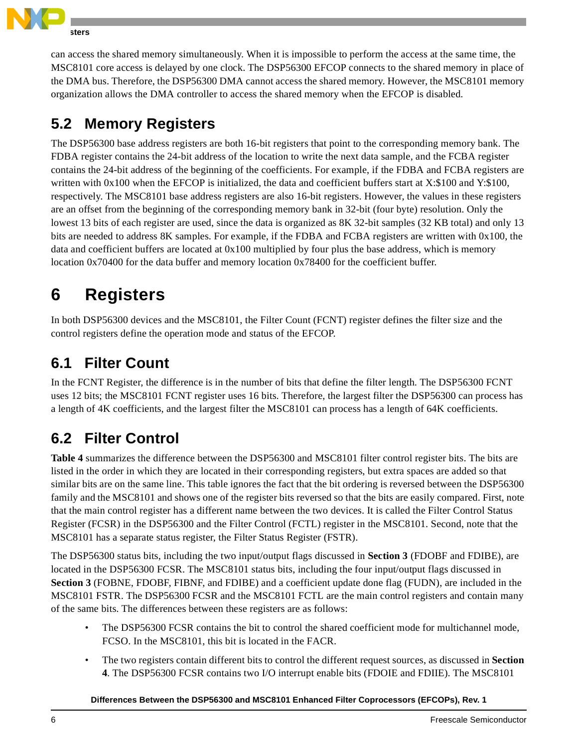

can access the shared memory simultaneously. When it is impossible to perform the access at the same time, the MSC8101 core access is delayed by one clock. The DSP56300 EFCOP connects to the shared memory in place of the DMA bus. Therefore, the DSP56300 DMA cannot access the shared memory. However, the MSC8101 memory organization allows the DMA controller to access the shared memory when the EFCOP is disabled.

### **5.2 Memory Registers**

The DSP56300 base address registers are both 16-bit registers that point to the corresponding memory bank. The FDBA register contains the 24-bit address of the location to write the next data sample, and the FCBA register contains the 24-bit address of the beginning of the coefficients. For example, if the FDBA and FCBA registers are written with 0x100 when the EFCOP is initialized, the data and coefficient buffers start at X:\$100 and Y:\$100, respectively. The MSC8101 base address registers are also 16-bit registers. However, the values in these registers are an offset from the beginning of the corresponding memory bank in 32-bit (four byte) resolution. Only the lowest 13 bits of each register are used, since the data is organized as 8K 32-bit samples (32 KB total) and only 13 bits are needed to address 8K samples. For example, if the FDBA and FCBA registers are written with 0x100, the data and coefficient buffers are located at 0x100 multiplied by four plus the base address, which is memory location 0x70400 for the data buffer and memory location 0x78400 for the coefficient buffer.

# **6 Registers**

In both DSP56300 devices and the MSC8101, the Filter Count (FCNT) register defines the filter size and the control registers define the operation mode and status of the EFCOP.

### **6.1 Filter Count**

In the FCNT Register, the difference is in the number of bits that define the filter length. The DSP56300 FCNT uses 12 bits; the MSC8101 FCNT register uses 16 bits. Therefore, the largest filter the DSP56300 can process has a length of 4K coefficients, and the largest filter the MSC8101 can process has a length of 64K coefficients.

### **6.2 Filter Control**

**[Table 4](#page-6-0)** summarizes the difference between the DSP56300 and MSC8101 filter control register bits. The bits are listed in the order in which they are located in their corresponding registers, but extra spaces are added so that similar bits are on the same line. This table ignores the fact that the bit ordering is reversed between the DSP56300 family and the MSC8101 and shows one of the register bits reversed so that the bits are easily compared. First, note that the main control register has a different name between the two devices. It is called the Filter Control Status Register (FCSR) in the DSP56300 and the Filter Control (FCTL) register in the MSC8101. Second, note that the MSC8101 has a separate status register, the Filter Status Register (FSTR).

The DSP56300 status bits, including the two input/output flags discussed in **[Section 3](#page-2-1)** (FDOBF and FDIBE), are located in the DSP56300 FCSR. The MSC8101 status bits, including the four input/output flags discussed in **[Section 3](#page-2-1)** (FOBNE, FDOBF, FIBNF, and FDIBE) and a coefficient update done flag (FUDN), are included in the MSC8101 FSTR. The DSP56300 FCSR and the MSC8101 FCTL are the main control registers and contain many of the same bits. The differences between these registers are as follows:

- The DSP56300 FCSR contains the bit to control the shared coefficient mode for multichannel mode, FCSO. In the MSC8101, this bit is located in the FACR.
- The two registers contain different bits to control the different request sources, as discussed in **[Section](#page-3-1)  [4](#page-3-1)**. The DSP56300 FCSR contains two I/O interrupt enable bits (FDOIE and FDIIE). The MSC8101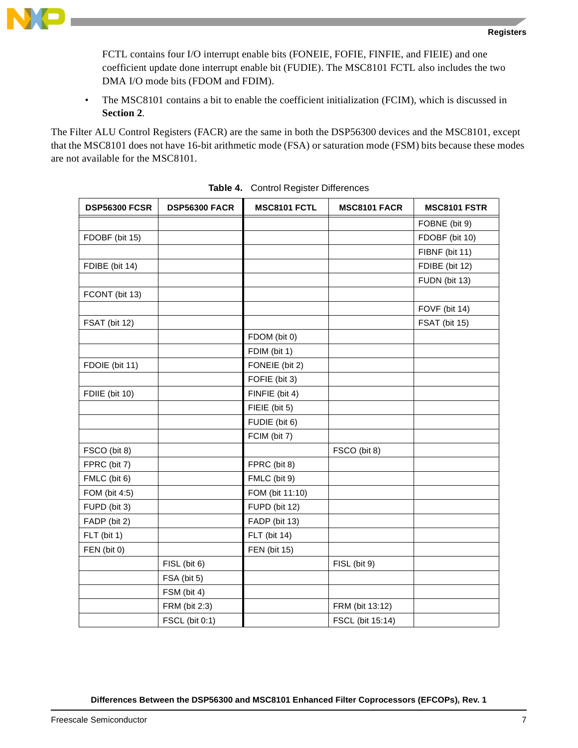FCTL contains four I/O interrupt enable bits (FONEIE, FOFIE, FINFIE, and FIEIE) and one coefficient update done interrupt enable bit (FUDIE). The MSC8101 FCTL also includes the two DMA I/O mode bits (FDOM and FDIM).

• The MSC8101 contains a bit to enable the coefficient initialization (FCIM), which is discussed in **[Section 2](#page-1-2)**.

The Filter ALU Control Registers (FACR) are the same in both the DSP56300 devices and the MSC8101, except that the MSC8101 does not have 16-bit arithmetic mode (FSA) or saturation mode (FSM) bits because these modes are not available for the MSC8101.

<span id="page-6-0"></span>

| <b>DSP56300 FCSR</b> | <b>DSP56300 FACR</b> | MSC8101 FCTL        | <b>MSC8101 FACR</b> | <b>MSC8101 FSTR</b> |
|----------------------|----------------------|---------------------|---------------------|---------------------|
|                      |                      |                     |                     | FOBNE (bit 9)       |
| FDOBF (bit 15)       |                      |                     |                     | FDOBF (bit 10)      |
|                      |                      |                     |                     | FIBNF (bit 11)      |
| FDIBE (bit 14)       |                      |                     |                     | FDIBE (bit 12)      |
|                      |                      |                     |                     | FUDN (bit 13)       |
| FCONT (bit 13)       |                      |                     |                     |                     |
|                      |                      |                     |                     | FOVF (bit 14)       |
| FSAT (bit 12)        |                      |                     |                     | FSAT (bit 15)       |
|                      |                      | FDOM (bit 0)        |                     |                     |
|                      |                      | FDIM (bit 1)        |                     |                     |
| FDOIE (bit 11)       |                      | FONEIE (bit 2)      |                     |                     |
|                      |                      | FOFIE (bit 3)       |                     |                     |
| FDIIE (bit 10)       |                      | FINFIE (bit 4)      |                     |                     |
|                      |                      | FIEIE (bit 5)       |                     |                     |
|                      |                      | FUDIE (bit 6)       |                     |                     |
|                      |                      | FCIM (bit 7)        |                     |                     |
| FSCO (bit 8)         |                      |                     | FSCO (bit 8)        |                     |
| FPRC (bit 7)         |                      | FPRC (bit 8)        |                     |                     |
| FMLC (bit 6)         |                      | FMLC (bit 9)        |                     |                     |
| FOM (bit 4:5)        |                      | FOM (bit 11:10)     |                     |                     |
| FUPD (bit 3)         |                      | FUPD (bit 12)       |                     |                     |
| FADP (bit 2)         |                      | FADP (bit 13)       |                     |                     |
| FLT (bit 1)          |                      | FLT (bit 14)        |                     |                     |
| FEN (bit 0)          |                      | <b>FEN</b> (bit 15) |                     |                     |
|                      | FISL (bit 6)         |                     | FISL (bit 9)        |                     |
|                      | FSA (bit 5)          |                     |                     |                     |
|                      | FSM (bit 4)          |                     |                     |                     |
|                      | FRM (bit 2:3)        |                     | FRM (bit 13:12)     |                     |
|                      | FSCL (bit 0:1)       |                     | FSCL (bit 15:14)    |                     |

| Table 4. Control Register Differences |
|---------------------------------------|
|                                       |